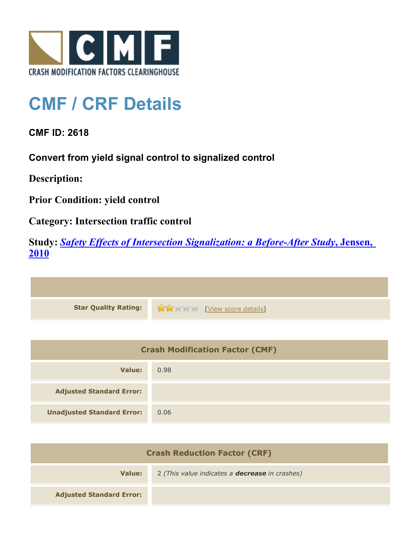

## **CMF / CRF Details**

**CMF ID: 2618**

**Convert from yield signal control to signalized control**

**Description:** 

**Prior Condition: yield control**

**Category: Intersection traffic control**

**Study:** *[Safety Effects of Intersection Signalization: a Before-After Study](http://www.cmfclearinghouse.org/study_detail.cfm?stid=170)***[, Jensen,](http://www.cmfclearinghouse.org/study_detail.cfm?stid=170) [2010](http://www.cmfclearinghouse.org/study_detail.cfm?stid=170)**



| <b>Crash Modification Factor (CMF)</b> |      |
|----------------------------------------|------|
| Value:                                 | 0.98 |
| <b>Adjusted Standard Error:</b>        |      |
| <b>Unadjusted Standard Error:</b>      | 0.06 |

| <b>Crash Reduction Factor (CRF)</b> |                                                       |
|-------------------------------------|-------------------------------------------------------|
| Value:                              | 2 (This value indicates a <b>decrease</b> in crashes) |
| <b>Adjusted Standard Error:</b>     |                                                       |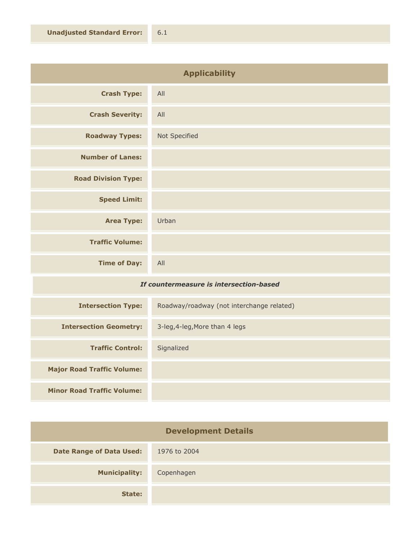| <b>Applicability</b>       |               |
|----------------------------|---------------|
| <b>Crash Type:</b>         | All           |
| <b>Crash Severity:</b>     | All           |
| <b>Roadway Types:</b>      | Not Specified |
| <b>Number of Lanes:</b>    |               |
| <b>Road Division Type:</b> |               |
| <b>Speed Limit:</b>        |               |
| <b>Area Type:</b>          | Urban         |
| <b>Traffic Volume:</b>     |               |
| <b>Time of Day:</b>        | All           |
|                            |               |

## *If countermeasure is intersection-based*

| <b>Intersection Type:</b>         | Roadway/roadway (not interchange related) |
|-----------------------------------|-------------------------------------------|
| <b>Intersection Geometry:</b>     | 3-leg, 4-leg, More than 4 legs            |
| <b>Traffic Control:</b>           | Signalized                                |
| <b>Major Road Traffic Volume:</b> |                                           |
| <b>Minor Road Traffic Volume:</b> |                                           |

| <b>Development Details</b>      |              |
|---------------------------------|--------------|
| <b>Date Range of Data Used:</b> | 1976 to 2004 |
| <b>Municipality:</b>            | Copenhagen   |
| State:                          |              |